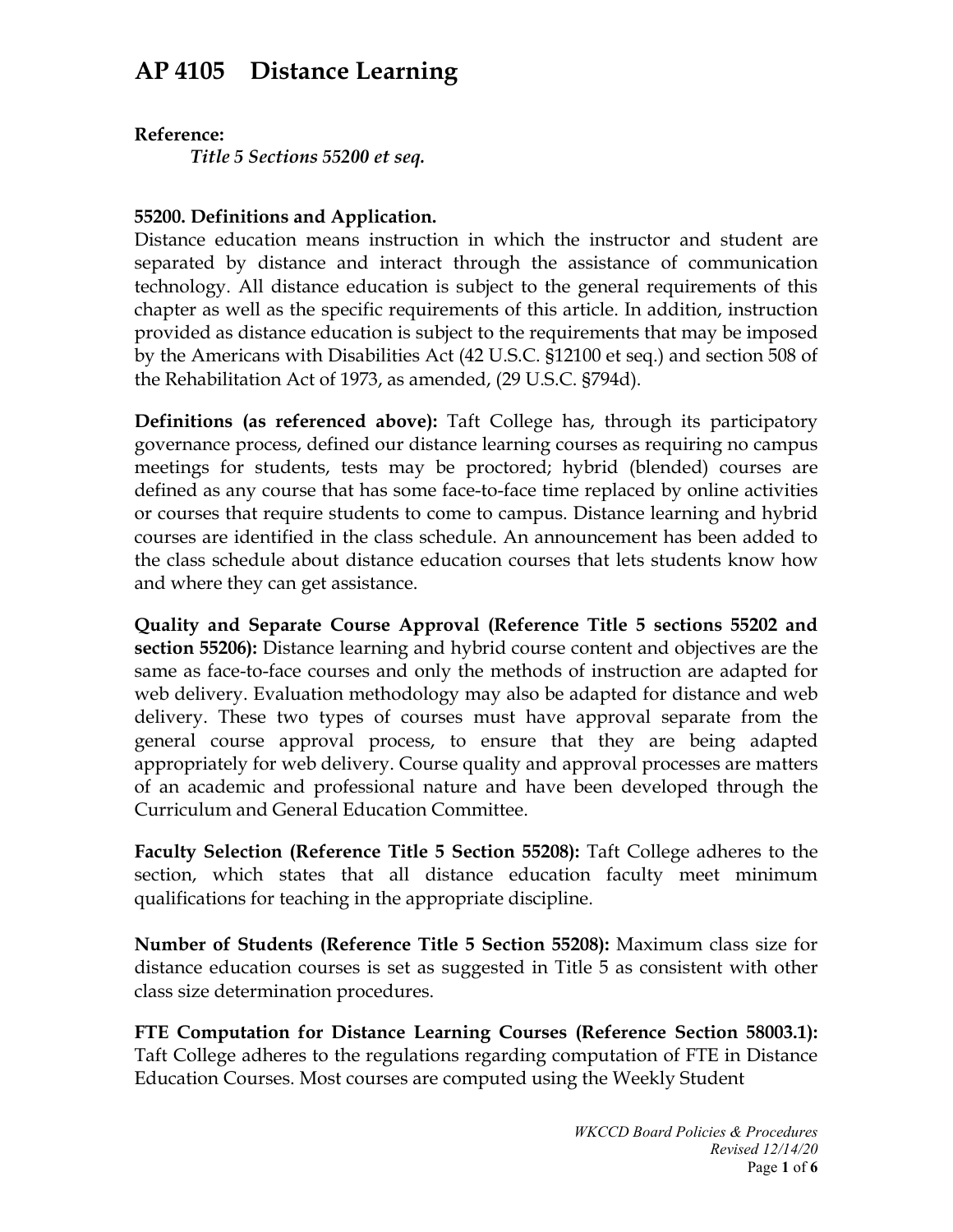# **AP 4105 Distance Learning**

### **Reference:**

*Title 5 Sections 55200 et seq.*

## **55200. Definitions and Application.**

Distance education means instruction in which the instructor and student are separated by distance and interact through the assistance of communication technology. All distance education is subject to the general requirements of this chapter as well as the specific requirements of this article. In addition, instruction provided as distance education is subject to the requirements that may be imposed by the Americans with Disabilities Act (42 U.S.C. §12100 et seq.) and section 508 of the Rehabilitation Act of 1973, as amended, (29 U.S.C. §794d).

**Definitions (as referenced above):** Taft College has, through its participatory governance process, defined our distance learning courses as requiring no campus meetings for students, tests may be proctored; hybrid (blended) courses are defined as any course that has some face-to-face time replaced by online activities or courses that require students to come to campus. Distance learning and hybrid courses are identified in the class schedule. An announcement has been added to the class schedule about distance education courses that lets students know how and where they can get assistance.

**Quality and Separate Course Approval (Reference Title 5 sections 55202 and section 55206):** Distance learning and hybrid course content and objectives are the same as face-to-face courses and only the methods of instruction are adapted for web delivery. Evaluation methodology may also be adapted for distance and web delivery. These two types of courses must have approval separate from the general course approval process, to ensure that they are being adapted appropriately for web delivery. Course quality and approval processes are matters of an academic and professional nature and have been developed through the Curriculum and General Education Committee.

**Faculty Selection (Reference Title 5 Section 55208):** Taft College adheres to the section, which states that all distance education faculty meet minimum qualifications for teaching in the appropriate discipline.

**Number of Students (Reference Title 5 Section 55208):** Maximum class size for distance education courses is set as suggested in Title 5 as consistent with other class size determination procedures.

**FTE Computation for Distance Learning Courses (Reference Section 58003.1):**  Taft College adheres to the regulations regarding computation of FTE in Distance Education Courses. Most courses are computed using the Weekly Student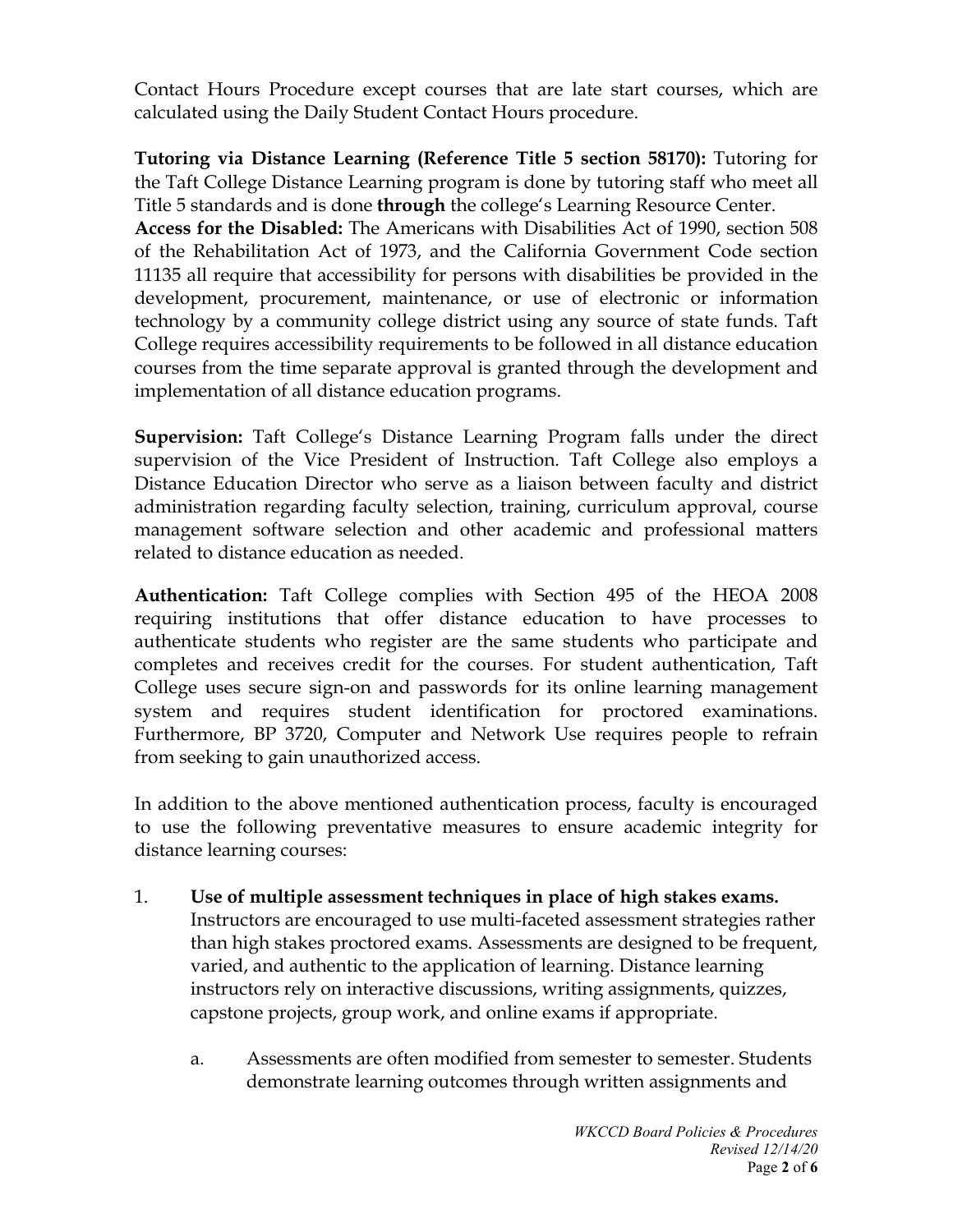Contact Hours Procedure except courses that are late start courses, which are calculated using the Daily Student Contact Hours procedure.

**Tutoring via Distance Learning (Reference Title 5 section 58170):** Tutoring for the Taft College Distance Learning program is done by tutoring staff who meet all Title 5 standards and is done **through** the college's Learning Resource Center.

**Access for the Disabled:** The Americans with Disabilities Act of 1990, section 508 of the Rehabilitation Act of 1973, and the California Government Code section 11135 all require that accessibility for persons with disabilities be provided in the development, procurement, maintenance, or use of electronic or information technology by a community college district using any source of state funds. Taft College requires accessibility requirements to be followed in all distance education courses from the time separate approval is granted through the development and implementation of all distance education programs.

**Supervision:** Taft College's Distance Learning Program falls under the direct supervision of the Vice President of Instruction. Taft College also employs a Distance Education Director who serve as a liaison between faculty and district administration regarding faculty selection, training, curriculum approval, course management software selection and other academic and professional matters related to distance education as needed.

**Authentication:** Taft College complies with Section 495 of the HEOA 2008 requiring institutions that offer distance education to have processes to authenticate students who register are the same students who participate and completes and receives credit for the courses. For student authentication, Taft College uses secure sign-on and passwords for its online learning management system and requires student identification for proctored examinations. Furthermore, BP 3720, Computer and Network Use requires people to refrain from seeking to gain unauthorized access.

In addition to the above mentioned authentication process, faculty is encouraged to use the following preventative measures to ensure academic integrity for distance learning courses:

- 1. **Use of multiple assessment techniques in place of high stakes exams.**  Instructors are encouraged to use multi-faceted assessment strategies rather than high stakes proctored exams. Assessments are designed to be frequent, varied, and authentic to the application of learning. Distance learning instructors rely on interactive discussions, writing assignments, quizzes, capstone projects, group work, and online exams if appropriate.
	- a. Assessments are often modified from semester to semester. Students demonstrate learning outcomes through written assignments and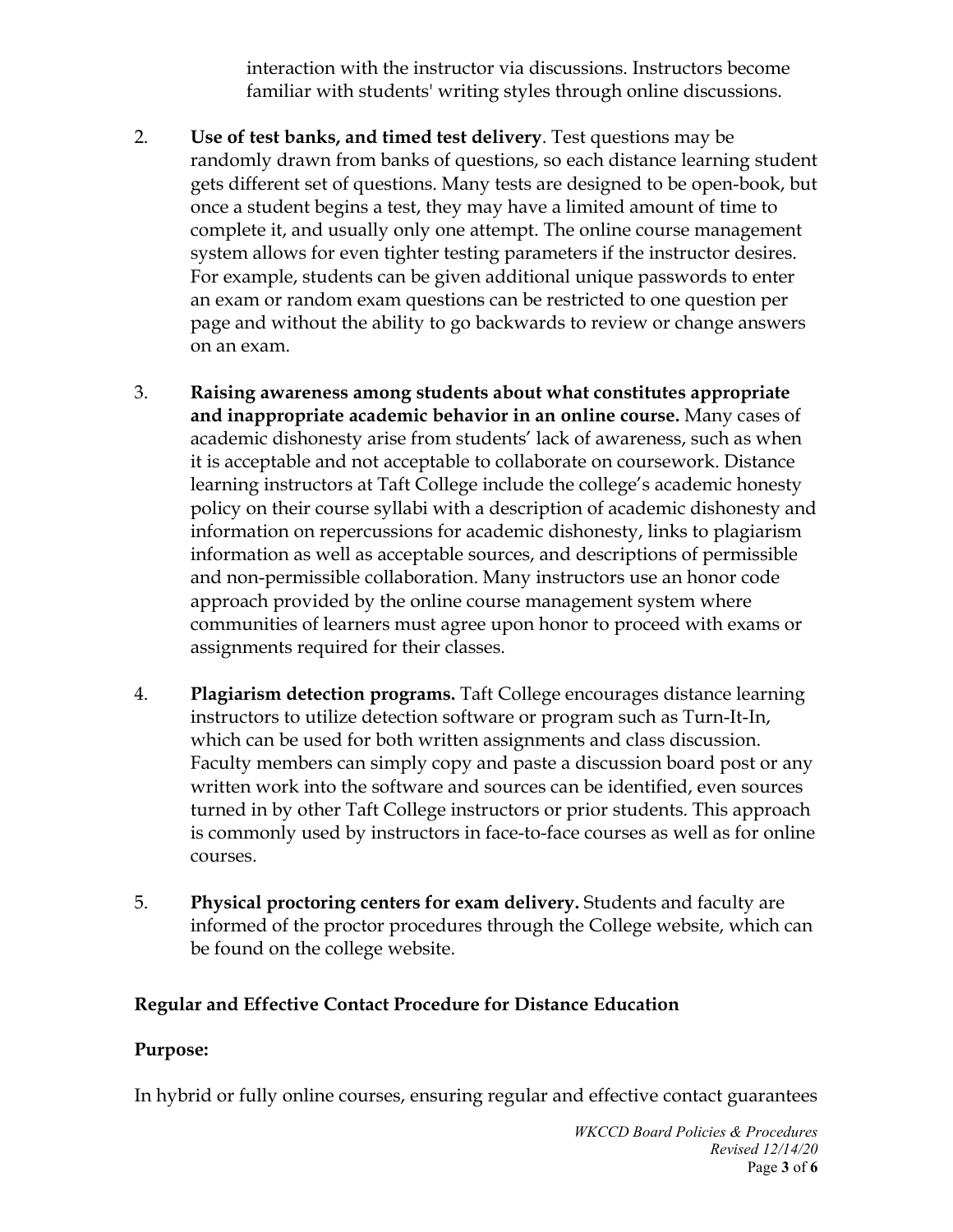interaction with the instructor via discussions. Instructors become familiar with students' writing styles through online discussions.

- 2. **Use of test banks, and timed test delivery**. Test questions may be randomly drawn from banks of questions, so each distance learning student gets different set of questions. Many tests are designed to be open-book, but once a student begins a test, they may have a limited amount of time to complete it, and usually only one attempt. The online course management system allows for even tighter testing parameters if the instructor desires. For example, students can be given additional unique passwords to enter an exam or random exam questions can be restricted to one question per page and without the ability to go backwards to review or change answers on an exam.
- 3. **Raising awareness among students about what constitutes appropriate and inappropriate academic behavior in an online course.** Many cases of academic dishonesty arise from students' lack of awareness, such as when it is acceptable and not acceptable to collaborate on coursework. Distance learning instructors at Taft College include the college's academic honesty policy on their course syllabi with a description of academic dishonesty and information on repercussions for academic dishonesty, links to plagiarism information as well as acceptable sources, and descriptions of permissible and non-permissible collaboration. Many instructors use an honor code approach provided by the online course management system where communities of learners must agree upon honor to proceed with exams or assignments required for their classes.
- 4. **Plagiarism detection programs.** Taft College encourages distance learning instructors to utilize detection software or program such as Turn-It-In, which can be used for both written assignments and class discussion. Faculty members can simply copy and paste a discussion board post or any written work into the software and sources can be identified, even sources turned in by other Taft College instructors or prior students. This approach is commonly used by instructors in face-to-face courses as well as for online courses.
- 5. **Physical proctoring centers for exam delivery.** Students and faculty are informed of the proctor procedures through the College website, which can be found on the college website.

#### **Regular and Effective Contact Procedure for Distance Education**

#### **Purpose:**

In hybrid or fully online courses, ensuring regular and effective contact guarantees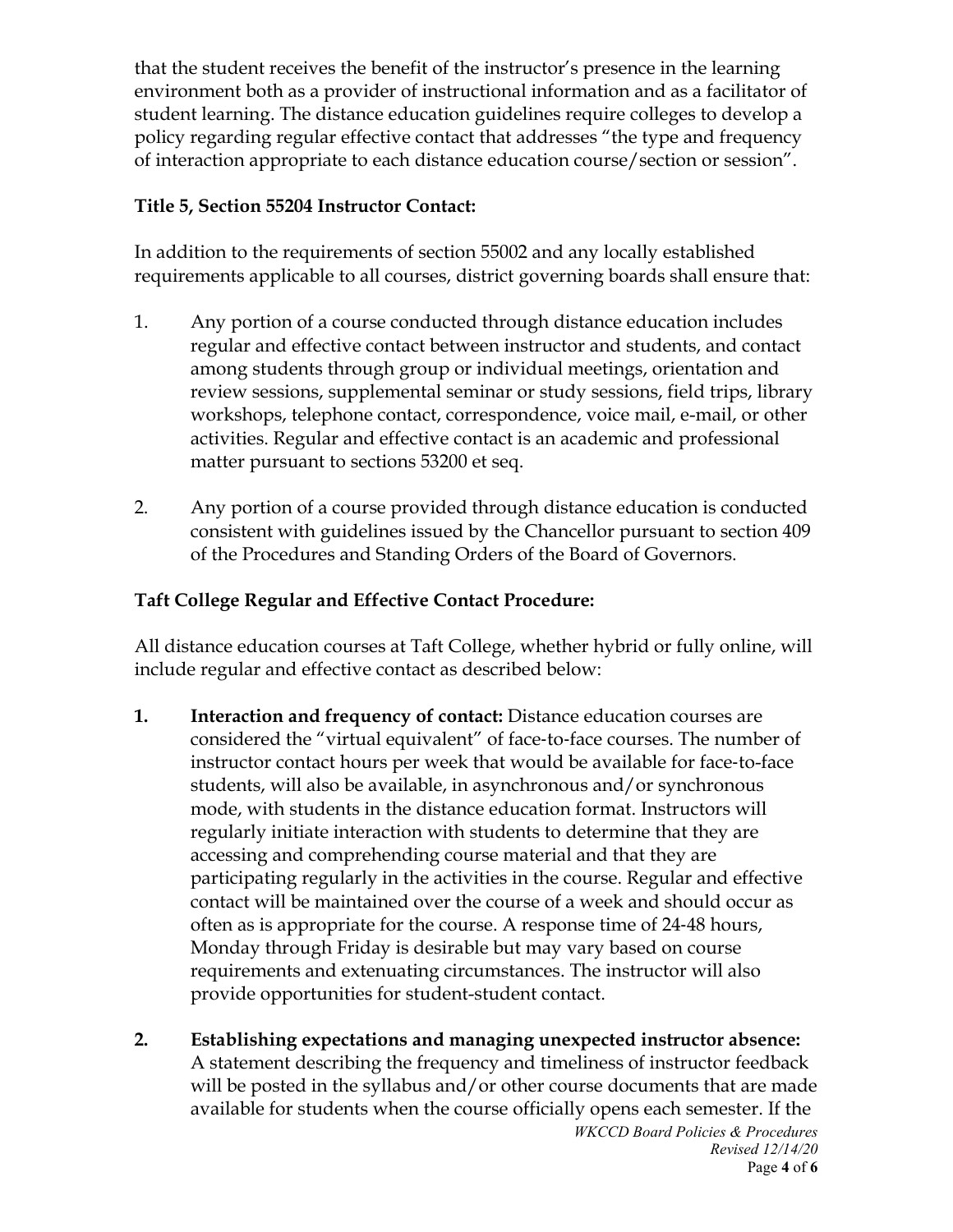that the student receives the benefit of the instructor's presence in the learning environment both as a provider of instructional information and as a facilitator of student learning. The distance education guidelines require colleges to develop a policy regarding regular effective contact that addresses "the type and frequency of interaction appropriate to each distance education course/section or session".

## **Title 5, Section 55204 Instructor Contact:**

In addition to the requirements of section 55002 and any locally established requirements applicable to all courses, district governing boards shall ensure that:

- 1. Any portion of a course conducted through distance education includes regular and effective contact between instructor and students, and contact among students through group or individual meetings, orientation and review sessions, supplemental seminar or study sessions, field trips, library workshops, telephone contact, correspondence, voice mail, e-mail, or other activities. Regular and effective contact is an academic and professional matter pursuant to sections 53200 et seq.
- 2. Any portion of a course provided through distance education is conducted consistent with guidelines issued by the Chancellor pursuant to section 409 of the Procedures and Standing Orders of the Board of Governors.

## **Taft College Regular and Effective Contact Procedure:**

All distance education courses at Taft College, whether hybrid or fully online, will include regular and effective contact as described below:

- **1. Interaction and frequency of contact:** Distance education courses are considered the "virtual equivalent" of face‐to‐face courses. The number of instructor contact hours per week that would be available for face‐to-face students, will also be available, in asynchronous and/or synchronous mode, with students in the distance education format. Instructors will regularly initiate interaction with students to determine that they are accessing and comprehending course material and that they are participating regularly in the activities in the course. Regular and effective contact will be maintained over the course of a week and should occur as often as is appropriate for the course. A response time of 24‐48 hours, Monday through Friday is desirable but may vary based on course requirements and extenuating circumstances. The instructor will also provide opportunities for student-student contact.
- *WKCCD Board Policies & Procedures Revised 12/14/20* **2. Establishing expectations and managing unexpected instructor absence:** A statement describing the frequency and timeliness of instructor feedback will be posted in the syllabus and/or other course documents that are made available for students when the course officially opens each semester. If the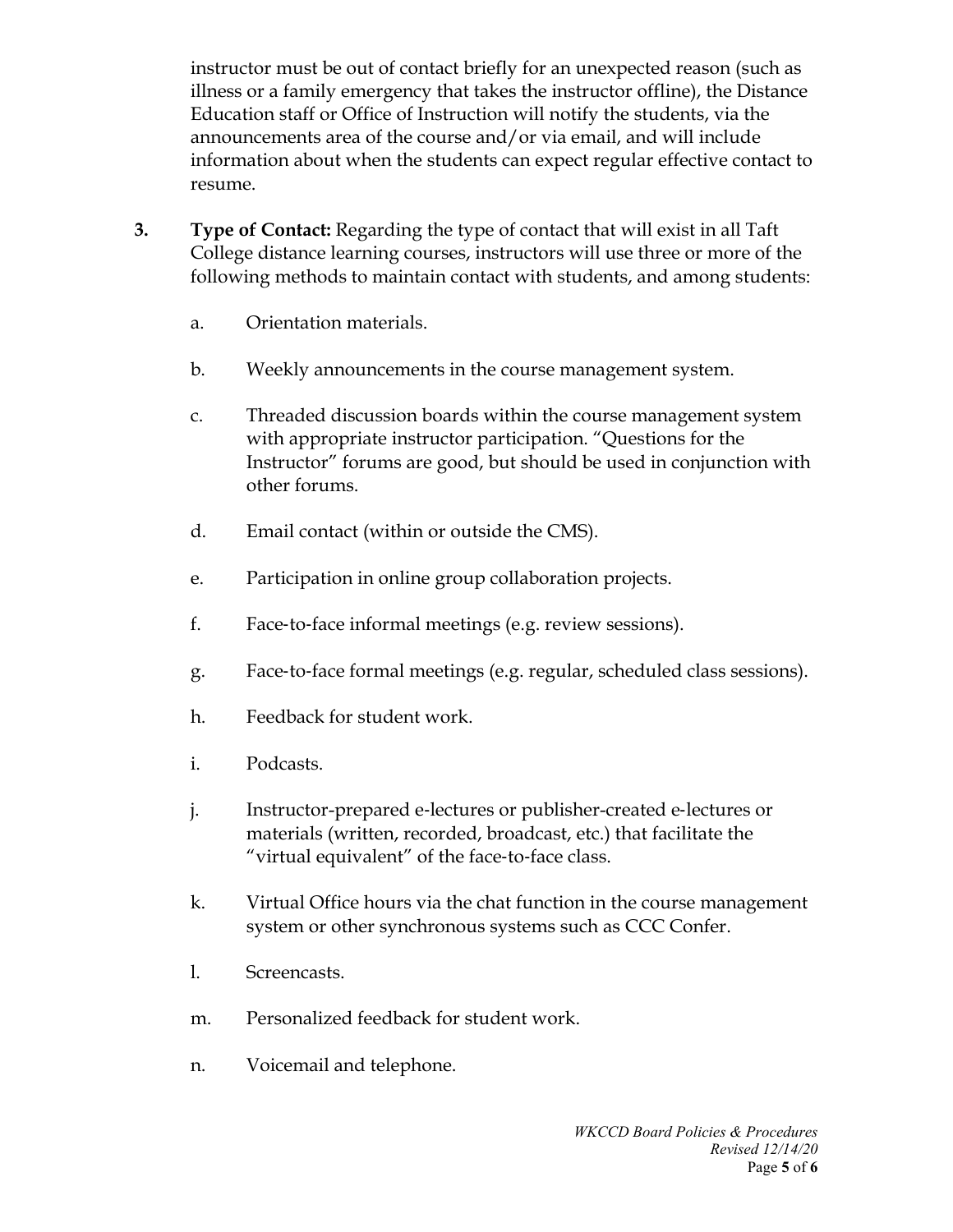instructor must be out of contact briefly for an unexpected reason (such as illness or a family emergency that takes the instructor offline), the Distance Education staff or Office of Instruction will notify the students, via the announcements area of the course and/or via email, and will include information about when the students can expect regular effective contact to resume.

- **3. Type of Contact:** Regarding the type of contact that will exist in all Taft College distance learning courses, instructors will use three or more of the following methods to maintain contact with students, and among students:
	- a. Orientation materials.
	- b. Weekly announcements in the course management system.
	- c. Threaded discussion boards within the course management system with appropriate instructor participation. "Questions for the Instructor" forums are good, but should be used in conjunction with other forums.
	- d. Email contact (within or outside the CMS).
	- e. Participation in online group collaboration projects.
	- f. Face‐to‐face informal meetings (e.g. review sessions).
	- g. Face‐to‐face formal meetings (e.g. regular, scheduled class sessions).
	- h. Feedback for student work.
	- i. Podcasts.
	- j. Instructor-prepared e‐lectures or publisher-created e‐lectures or materials (written, recorded, broadcast, etc.) that facilitate the "virtual equivalent" of the face‐to‐face class.
	- k. Virtual Office hours via the chat function in the course management system or other synchronous systems such as CCC Confer.
	- l. Screencasts.
	- m. Personalized feedback for student work.
	- n. Voicemail and telephone.